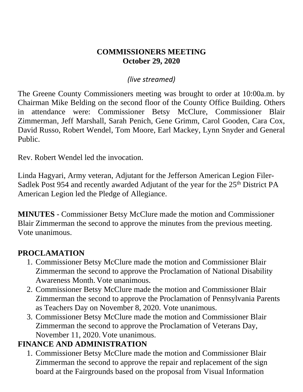#### **COMMISSIONERS MEETING October 29, 2020**

#### *(live streamed)*

The Greene County Commissioners meeting was brought to order at 10:00a.m. by Chairman Mike Belding on the second floor of the County Office Building. Others in attendance were: Commissioner Betsy McClure, Commissioner Blair Zimmerman, Jeff Marshall, Sarah Penich, Gene Grimm, Carol Gooden, Cara Cox, David Russo, Robert Wendel, Tom Moore, Earl Mackey, Lynn Snyder and General Public.

Rev. Robert Wendel led the invocation.

Linda Hagyari, Army veteran, Adjutant for the Jefferson American Legion Filer-Sadlek Post 954 and recently awarded Adjutant of the year for the 25<sup>th</sup> District PA American Legion led the Pledge of Allegiance.

**MINUTES** - Commissioner Betsy McClure made the motion and Commissioner Blair Zimmerman the second to approve the minutes from the previous meeting. Vote unanimous.

#### **PROCLAMATION**

- 1. Commissioner Betsy McClure made the motion and Commissioner Blair Zimmerman the second to approve the Proclamation of National Disability Awareness Month. Vote unanimous.
- 2. Commissioner Betsy McClure made the motion and Commissioner Blair Zimmerman the second to approve the Proclamation of Pennsylvania Parents as Teachers Day on November 8, 2020. Vote unanimous.
- 3. Commissioner Betsy McClure made the motion and Commissioner Blair Zimmerman the second to approve the Proclamation of Veterans Day, November 11, 2020. Vote unanimous.

### **FINANCE AND ADMINISTRATION**

1. Commissioner Betsy McClure made the motion and Commissioner Blair Zimmerman the second to approve the repair and replacement of the sign board at the Fairgrounds based on the proposal from Visual Information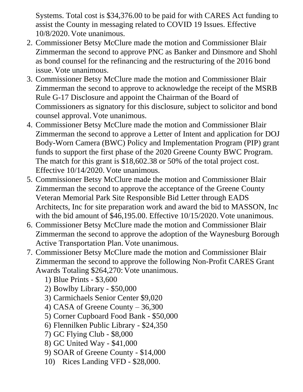Systems. Total cost is \$34,376.00 to be paid for with CARES Act funding to assist the County in messaging related to COVID 19 Issues. Effective 10/8/2020. Vote unanimous.

- 2. Commissioner Betsy McClure made the motion and Commissioner Blair Zimmerman the second to approve PNC as Banker and Dinsmore and Shohl as bond counsel for the refinancing and the restructuring of the 2016 bond issue. Vote unanimous.
- 3. Commissioner Betsy McClure made the motion and Commissioner Blair Zimmerman the second to approve to acknowledge the receipt of the MSRB Rule G-17 Disclosure and appoint the Chairman of the Board of Commissioners as signatory for this disclosure, subject to solicitor and bond counsel approval. Vote unanimous.
- 4. Commissioner Betsy McClure made the motion and Commissioner Blair Zimmerman the second to approve a Letter of Intent and application for DOJ Body-Worn Camera (BWC) Policy and Implementation Program (PIP) grant funds to support the first phase of the 2020 Greene County BWC Program. The match for this grant is \$18,602.38 or 50% of the total project cost. Effective 10/14/2020. Vote unanimous.
- 5. Commissioner Betsy McClure made the motion and Commissioner Blair Zimmerman the second to approve the acceptance of the Greene County Veteran Memorial Park Site Responsible Bid Letter through EADS Architects, Inc for site preparation work and award the bid to MASSON, Inc with the bid amount of \$46,195.00. Effective 10/15/2020. Vote unanimous.
- 6. Commissioner Betsy McClure made the motion and Commissioner Blair Zimmerman the second to approve the adoption of the Waynesburg Borough Active Transportation Plan. Vote unanimous.
- 7. Commissioner Betsy McClure made the motion and Commissioner Blair Zimmerman the second to approve the following Non-Profit CARES Grant Awards Totaling \$264,270: Vote unanimous.
	- 1) Blue Prints \$3,600
	- 2) Bowlby Library \$50,000
	- 3) Carmichaels Senior Center \$9,020
	- 4) CASA of Greene County 36,300
	- 5) Corner Cupboard Food Bank \$50,000
	- 6) Flennilken Public Library \$24,350
	- 7) GC Flying Club \$8,000
	- 8) GC United Way \$41,000
	- 9) SOAR of Greene County \$14,000
	- 10) Rices Landing VFD \$28,000.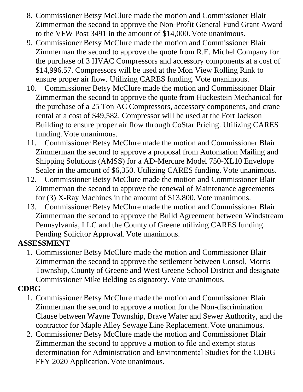- 8. Commissioner Betsy McClure made the motion and Commissioner Blair Zimmerman the second to approve the Non-Profit General Fund Grant Award to the VFW Post 3491 in the amount of \$14,000. Vote unanimous.
- 9. Commissioner Betsy McClure made the motion and Commissioner Blair Zimmerman the second to approve the quote from R.E. Michel Company for the purchase of 3 HVAC Compressors and accessory components at a cost of \$14,996.57. Compressors will be used at the Mon View Rolling Rink to ensure proper air flow. Utilizing CARES funding. Vote unanimous.
- 10. Commissioner Betsy McClure made the motion and Commissioner Blair Zimmerman the second to approve the quote from Huckestein Mechanical for the purchase of a 25 Ton AC Compressors, accessory components, and crane rental at a cost of \$49,582. Compressor will be used at the Fort Jackson Building to ensure proper air flow through CoStar Pricing. Utilizing CARES funding. Vote unanimous.
- 11. Commissioner Betsy McClure made the motion and Commissioner Blair Zimmerman the second to approve a proposal from Automation Mailing and Shipping Solutions (AMSS) for a AD-Mercure Model 750-XL10 Envelope Sealer in the amount of \$6,350. Utilizing CARES funding. Vote unanimous.
- 12. Commissioner Betsy McClure made the motion and Commissioner Blair Zimmerman the second to approve the renewal of Maintenance agreements for (3) X-Ray Machines in the amount of \$13,800. Vote unanimous.
- 13. Commissioner Betsy McClure made the motion and Commissioner Blair Zimmerman the second to approve the Build Agreement between Windstream Pennsylvania, LLC and the County of Greene utilizing CARES funding. Pending Solicitor Approval. Vote unanimous.

### **ASSESSMENT**

1. Commissioner Betsy McClure made the motion and Commissioner Blair Zimmerman the second to approve the settlement between Consol, Morris Township, County of Greene and West Greene School District and designate Commissioner Mike Belding as signatory. Vote unanimous.

## **CDBG**

- 1. Commissioner Betsy McClure made the motion and Commissioner Blair Zimmerman the second to approve a motion for the Non-discrimination Clause between Wayne Township, Brave Water and Sewer Authority, and the contractor for Maple Alley Sewage Line Replacement. Vote unanimous.
- 2. Commissioner Betsy McClure made the motion and Commissioner Blair Zimmerman the second to approve a motion to file and exempt status determination for Administration and Environmental Studies for the CDBG FFY 2020 Application. Vote unanimous.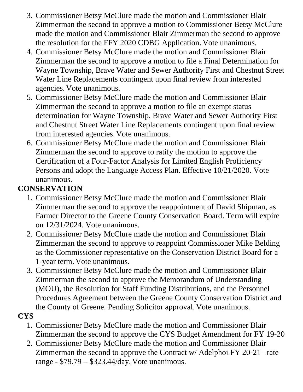- 3. Commissioner Betsy McClure made the motion and Commissioner Blair Zimmerman the second to approve a motion to Commissioner Betsy McClure made the motion and Commissioner Blair Zimmerman the second to approve the resolution for the FFY 2020 CDBG Application. Vote unanimous.
- 4. Commissioner Betsy McClure made the motion and Commissioner Blair Zimmerman the second to approve a motion to file a Final Determination for Wayne Township, Brave Water and Sewer Authority First and Chestnut Street Water Line Replacements contingent upon final review from interested agencies. Vote unanimous.
- 5. Commissioner Betsy McClure made the motion and Commissioner Blair Zimmerman the second to approve a motion to file an exempt status determination for Wayne Township, Brave Water and Sewer Authority First and Chestnut Street Water Line Replacements contingent upon final review from interested agencies. Vote unanimous.
- 6. Commissioner Betsy McClure made the motion and Commissioner Blair Zimmerman the second to approve to ratify the motion to approve the Certification of a Four-Factor Analysis for Limited English Proficiency Persons and adopt the Language Access Plan. Effective 10/21/2020. Vote unanimous.

### **CONSERVATION**

- 1. Commissioner Betsy McClure made the motion and Commissioner Blair Zimmerman the second to approve the reappointment of David Shipman, as Farmer Director to the Greene County Conservation Board. Term will expire on 12/31/2024. Vote unanimous.
- 2. Commissioner Betsy McClure made the motion and Commissioner Blair Zimmerman the second to approve to reappoint Commissioner Mike Belding as the Commissioner representative on the Conservation District Board for a 1-year term. Vote unanimous.
- 3. Commissioner Betsy McClure made the motion and Commissioner Blair Zimmerman the second to approve the Memorandum of Understanding (MOU), the Resolution for Staff Funding Distributions, and the Personnel Procedures Agreement between the Greene County Conservation District and the County of Greene. Pending Solicitor approval. Vote unanimous.

### **CYS**

- 1. Commissioner Betsy McClure made the motion and Commissioner Blair Zimmerman the second to approve the CYS Budget Amendment for FY 19-20
- 2. Commissioner Betsy McClure made the motion and Commissioner Blair Zimmerman the second to approve the Contract w/ Adelphoi FY 20-21 –rate range - \$79.79 – \$323.44/day. Vote unanimous.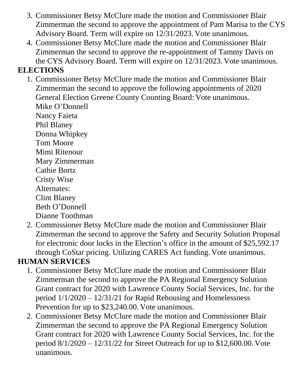- 3. Commissioner Betsy McClure made the motion and Commissioner Blair Zimmerman the second to approve the appointment of Pam Marisa to the CYS Advisory Board. Term will expire on 12/31/2023. Vote unanimous.
- 4. Commissioner Betsy McClure made the motion and Commissioner Blair Zimmerman the second to approve the re-appointment of Tammy Davis on the CYS Advisory Board. Term will expire on 12/31/2023. Vote unanimous.

### **ELECTIONS**

1. Commissioner Betsy McClure made the motion and Commissioner Blair Zimmerman the second to approve the following appointments of 2020 General Election Greene County Counting Board: Vote unanimous. Mike O'Donnell

Nancy Faieta Phil Blaney Donna Whipkey Tom Moore Mimi Ritenour Mary Zimmerman Cathie Bortz Cristy Wise Alternates: Clint Blaney Beth O'Donnell Dianne Toothman

2. Commissioner Betsy McClure made the motion and Commissioner Blair Zimmerman the second to approve the Safety and Security Solution Proposal for electronic door locks in the Election's office in the amount of \$25,592.17 through CoStar pricing. Utilizing CARES Act funding. Vote unanimous.

# **HUMAN SERVICES**

- 1. Commissioner Betsy McClure made the motion and Commissioner Blair Zimmerman the second to approve the PA Regional Emergency Solution Grant contract for 2020 with Lawrence County Social Services, Inc. for the period 1/1/2020 – 12/31/21 for Rapid Rehousing and Homelessness Prevention for up to \$23,240.00. Vote unanimous.
- 2. Commissioner Betsy McClure made the motion and Commissioner Blair Zimmerman the second to approve the PA Regional Emergency Solution Grant contract for 2020 with Lawrence County Social Services, Inc. for the period 8/1/2020 – 12/31/22 for Street Outreach for up to \$12,600.00. Vote unanimous.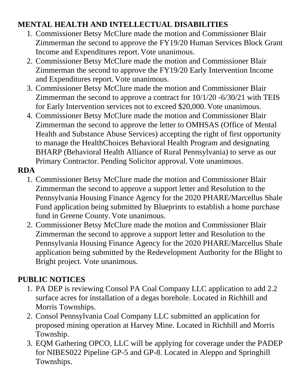### **MENTAL HEALTH AND INTELLECTUAL DISABILITIES**

- 1. Commissioner Betsy McClure made the motion and Commissioner Blair Zimmerman the second to approve the FY19/20 Human Services Block Grant Income and Expenditures report. Vote unanimous.
- 2. Commissioner Betsy McClure made the motion and Commissioner Blair Zimmerman the second to approve the FY19/20 Early Intervention Income and Expenditures report. Vote unanimous.
- 3. Commissioner Betsy McClure made the motion and Commissioner Blair Zimmerman the second to approve a contract for 10/1/20 -6/30/21 with TEIS for Early Intervention services not to exceed \$20,000. Vote unanimous.
- 4. Commissioner Betsy McClure made the motion and Commissioner Blair Zimmerman the second to approve the letter to OMHSAS (Office of Mental Health and Substance Abuse Services) accepting the right of first opportunity to manage the HealthChoices Behavioral Health Program and designating BHARP (Behavioral Health Alliance of Rural Pennsylvania) to serve as our Primary Contractor. Pending Solicitor approval. Vote unanimous.

#### **RDA**

- 1. Commissioner Betsy McClure made the motion and Commissioner Blair Zimmerman the second to approve a support letter and Resolution to the Pennsylvania Housing Finance Agency for the 2020 PHARE/Marcellus Shale Fund application being submitted by Blueprints to establish a home purchase fund in Greene County. Vote unanimous.
- 2. Commissioner Betsy McClure made the motion and Commissioner Blair Zimmerman the second to approve a support letter and Resolution to the Pennsylvania Housing Finance Agency for the 2020 PHARE/Marcellus Shale application being submitted by the Redevelopment Authority for the Blight to Bright project. Vote unanimous.

### **PUBLIC NOTICES**

- 1. PA DEP is reviewing Consol PA Coal Company LLC application to add 2.2 surface acres for installation of a degas borehole. Located in Richhill and Morris Townships.
- 2. Consol Pennsylvania Coal Company LLC submitted an application for proposed mining operation at Harvey Mine. Located in Richhill and Morris Township.
- 3. EQM Gathering OPCO, LLC will be applying for coverage under the PADEP for NIBES022 Pipeline GP-5 and GP-8. Located in Aleppo and Springhill Townships.